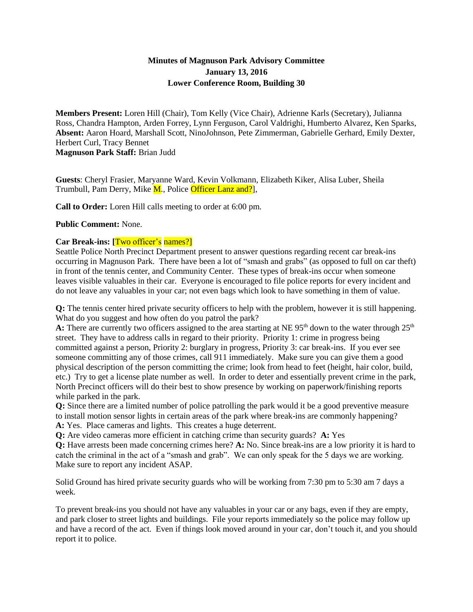# **Minutes of Magnuson Park Advisory Committee January 13, 2016 Lower Conference Room, Building 30**

**Members Present:** Loren Hill (Chair), Tom Kelly (Vice Chair), Adrienne Karls (Secretary), Julianna Ross, Chandra Hampton, Arden Forrey, Lynn Ferguson, Carol Valdrighi, Humberto Alvarez, Ken Sparks, **Absent:** Aaron Hoard, Marshall Scott, NinoJohnson, Pete Zimmerman, Gabrielle Gerhard, Emily Dexter, Herbert Curl, Tracy Bennet **Magnuson Park Staff:** Brian Judd

**Guests**: Cheryl Frasier, Maryanne Ward, Kevin Volkmann, Elizabeth Kiker, Alisa Luber, Sheila Trumbull, Pam Derry, Mike M., Police Officer Lanz and?],

**Call to Order:** Loren Hill calls meeting to order at 6:00 pm.

#### **Public Comment:** None.

## **Car Break-ins: [**Two officer's names?]

Seattle Police North Precinct Department present to answer questions regarding recent car break-ins occurring in Magnuson Park. There have been a lot of "smash and grabs" (as opposed to full on car theft) in front of the tennis center, and Community Center. These types of break-ins occur when someone leaves visible valuables in their car. Everyone is encouraged to file police reports for every incident and do not leave any valuables in your car; not even bags which look to have something in them of value.

**Q:** The tennis center hired private security officers to help with the problem, however it is still happening. What do you suggest and how often do you patrol the park?

**A:** There are currently two officers assigned to the area starting at NE  $95<sup>th</sup>$  down to the water through  $25<sup>th</sup>$ street. They have to address calls in regard to their priority. Priority 1: crime in progress being committed against a person, Priority 2: burglary in progress, Priority 3: car break-ins. If you ever see someone committing any of those crimes, call 911 immediately. Make sure you can give them a good physical description of the person committing the crime; look from head to feet (height, hair color, build, etc.) Try to get a license plate number as well. In order to deter and essentially prevent crime in the park, North Precinct officers will do their best to show presence by working on paperwork/finishing reports while parked in the park.

**Q:** Since there are a limited number of police patrolling the park would it be a good preventive measure to install motion sensor lights in certain areas of the park where break-ins are commonly happening? **A:** Yes. Place cameras and lights. This creates a huge deterrent.

**Q:** Are video cameras more efficient in catching crime than security guards? **A:** Yes

**Q:** Have arrests been made concerning crimes here? **A:** No. Since break-ins are a low priority it is hard to catch the criminal in the act of a "smash and grab". We can only speak for the 5 days we are working. Make sure to report any incident ASAP.

Solid Ground has hired private security guards who will be working from 7:30 pm to 5:30 am 7 days a week.

To prevent break-ins you should not have any valuables in your car or any bags, even if they are empty, and park closer to street lights and buildings. File your reports immediately so the police may follow up and have a record of the act. Even if things look moved around in your car, don't touch it, and you should report it to police.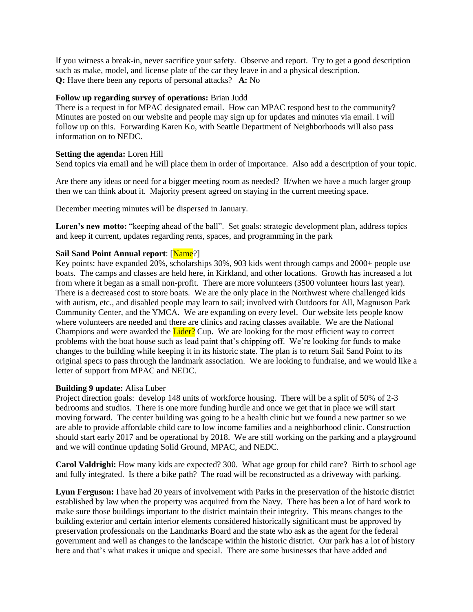If you witness a break-in, never sacrifice your safety. Observe and report. Try to get a good description such as make, model, and license plate of the car they leave in and a physical description. **Q:** Have there been any reports of personal attacks? **A:** No

## **Follow up regarding survey of operations:** Brian Judd

There is a request in for MPAC designated email. How can MPAC respond best to the community? Minutes are posted on our website and people may sign up for updates and minutes via email. I will follow up on this. Forwarding Karen Ko, with Seattle Department of Neighborhoods will also pass information on to NEDC.

## **Setting the agenda:** Loren Hill

Send topics via email and he will place them in order of importance. Also add a description of your topic.

Are there any ideas or need for a bigger meeting room as needed? If/when we have a much larger group then we can think about it. Majority present agreed on staying in the current meeting space.

December meeting minutes will be dispersed in January.

**Loren's new motto:** "keeping ahead of the ball". Set goals: strategic development plan, address topics and keep it current, updates regarding rents, spaces, and programming in the park

## **Sail Sand Point Annual report: [Name?]**

Key points: have expanded 20%, scholarships 30%, 903 kids went through camps and 2000+ people use boats. The camps and classes are held here, in Kirkland, and other locations. Growth has increased a lot from where it began as a small non-profit. There are more volunteers (3500 volunteer hours last year). There is a decreased cost to store boats. We are the only place in the Northwest where challenged kids with autism, etc., and disabled people may learn to sail; involved with Outdoors for All, Magnuson Park Community Center, and the YMCA. We are expanding on every level. Our website lets people know where volunteers are needed and there are clinics and racing classes available. We are the National Champions and were awarded the Lider? Cup. We are looking for the most efficient way to correct problems with the boat house such as lead paint that's chipping off. We're looking for funds to make changes to the building while keeping it in its historic state. The plan is to return Sail Sand Point to its original specs to pass through the landmark association. We are looking to fundraise, and we would like a letter of support from MPAC and NEDC.

## **Building 9 update:** Alisa Luber

Project direction goals: develop 148 units of workforce housing. There will be a split of 50% of 2-3 bedrooms and studios. There is one more funding hurdle and once we get that in place we will start moving forward. The center building was going to be a health clinic but we found a new partner so we are able to provide affordable child care to low income families and a neighborhood clinic. Construction should start early 2017 and be operational by 2018. We are still working on the parking and a playground and we will continue updating Solid Ground, MPAC, and NEDC.

**Carol Valdrighi:** How many kids are expected? 300. What age group for child care? Birth to school age and fully integrated. Is there a bike path? The road will be reconstructed as a driveway with parking.

**Lynn Ferguson:** I have had 20 years of involvement with Parks in the preservation of the historic district established by law when the property was acquired from the Navy. There has been a lot of hard work to make sure those buildings important to the district maintain their integrity. This means changes to the building exterior and certain interior elements considered historically significant must be approved by preservation professionals on the Landmarks Board and the state who ask as the agent for the federal government and well as changes to the landscape within the historic district. Our park has a lot of history here and that's what makes it unique and special. There are some businesses that have added and